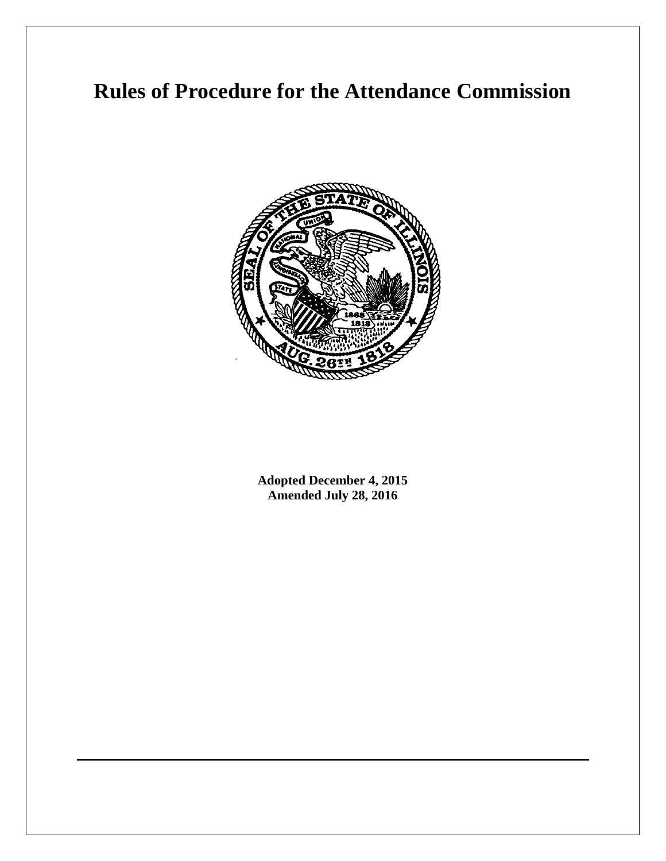# **Rules of Procedure for the Attendance Commission**



**Adopted December 4, 2015 Amended July 28, 2016**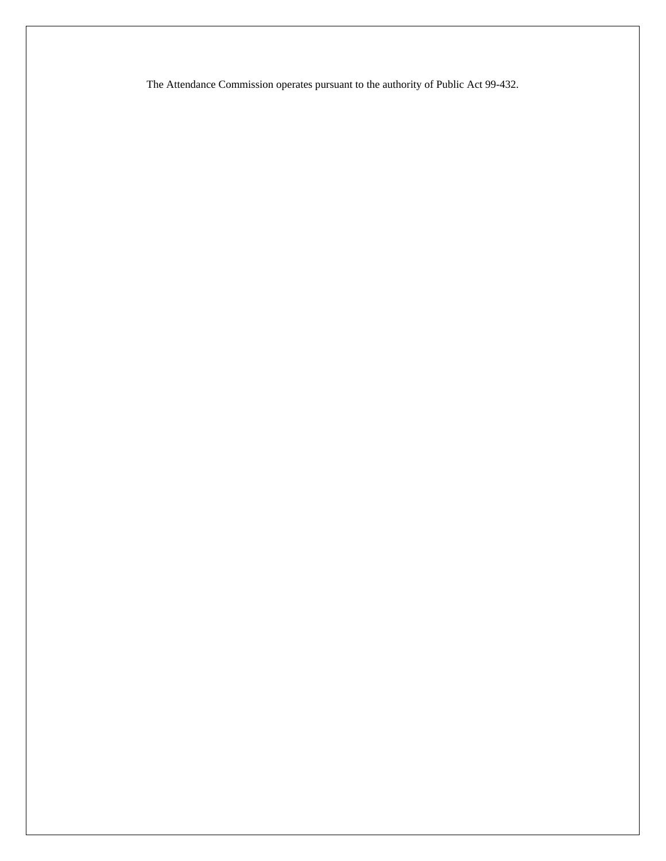The Attendance Commission operates pursuant to the authority of Public Act 99-432.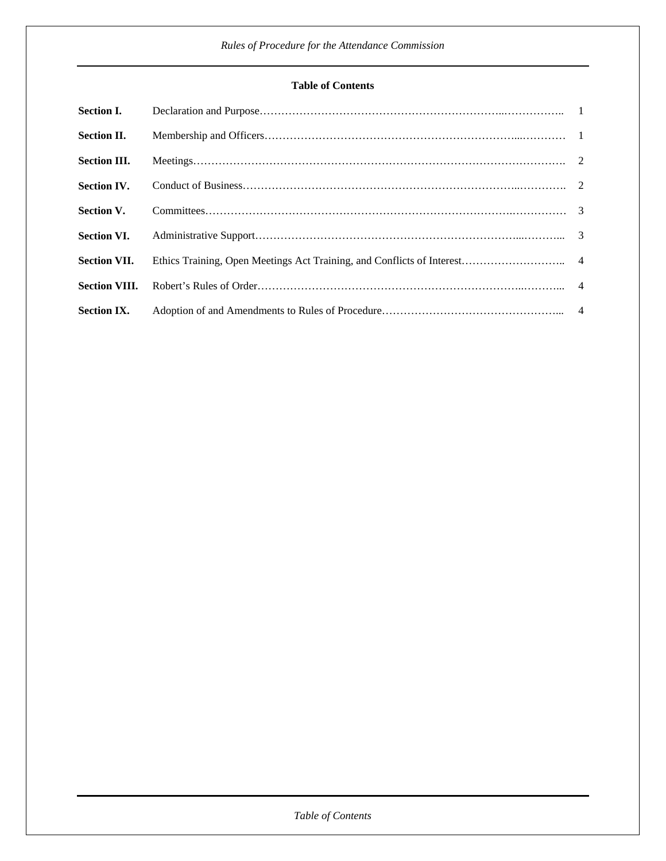# **Table of Contents**

| <b>Section I.</b>    |  |
|----------------------|--|
| <b>Section II.</b>   |  |
| <b>Section III.</b>  |  |
| <b>Section IV.</b>   |  |
| <b>Section V.</b>    |  |
| <b>Section VI.</b>   |  |
| <b>Section VII.</b>  |  |
| <b>Section VIII.</b> |  |
| <b>Section IX.</b>   |  |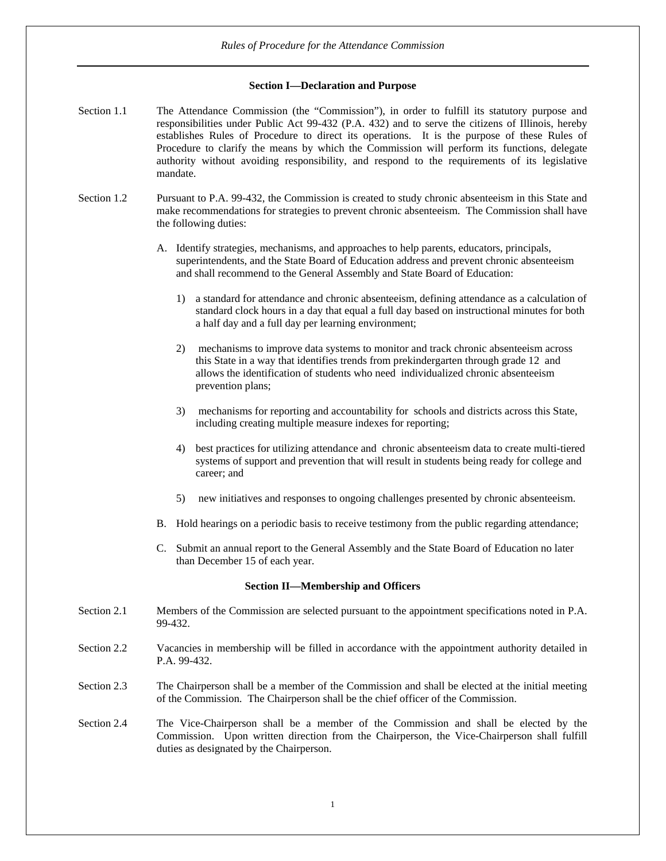# **Section I—Declaration and Purpose**

- Section 1.1 The Attendance Commission (the "Commission"), in order to fulfill its statutory purpose and responsibilities under Public Act 99-432 (P.A. 432) and to serve the citizens of Illinois, hereby establishes Rules of Procedure to direct its operations. It is the purpose of these Rules of Procedure to clarify the means by which the Commission will perform its functions, delegate authority without avoiding responsibility, and respond to the requirements of its legislative mandate.
- Section 1.2 Pursuant to P.A. 99-432, the Commission is created to study chronic absenteeism in this State and make recommendations for strategies to prevent chronic absenteeism. The Commission shall have the following duties:
	- A. Identify strategies, mechanisms, and approaches to help parents, educators, principals, superintendents, and the State Board of Education address and prevent chronic absenteeism and shall recommend to the General Assembly and State Board of Education:
		- 1) a standard for attendance and chronic absenteeism, defining attendance as a calculation of standard clock hours in a day that equal a full day based on instructional minutes for both a half day and a full day per learning environment;
		- 2) mechanisms to improve data systems to monitor and track chronic absenteeism across this State in a way that identifies trends from prekindergarten through grade 12 and allows the identification of students who need individualized chronic absenteeism prevention plans;
		- 3) mechanisms for reporting and accountability for schools and districts across this State, including creating multiple measure indexes for reporting;
		- 4) best practices for utilizing attendance and chronic absenteeism data to create multi-tiered systems of support and prevention that will result in students being ready for college and career; and
		- 5) new initiatives and responses to ongoing challenges presented by chronic absenteeism.
	- B. Hold hearings on a periodic basis to receive testimony from the public regarding attendance;
	- C. Submit an annual report to the General Assembly and the State Board of Education no later than December 15 of each year.

# **Section II—Membership and Officers**

- Section 2.1 Members of the Commission are selected pursuant to the appointment specifications noted in P.A. 99-432.
- Section 2.2 Vacancies in membership will be filled in accordance with the appointment authority detailed in P.A. 99-432.
- Section 2.3 The Chairperson shall be a member of the Commission and shall be elected at the initial meeting of the Commission. The Chairperson shall be the chief officer of the Commission.

Section 2.4 The Vice-Chairperson shall be a member of the Commission and shall be elected by the Commission. Upon written direction from the Chairperson, the Vice-Chairperson shall fulfill duties as designated by the Chairperson.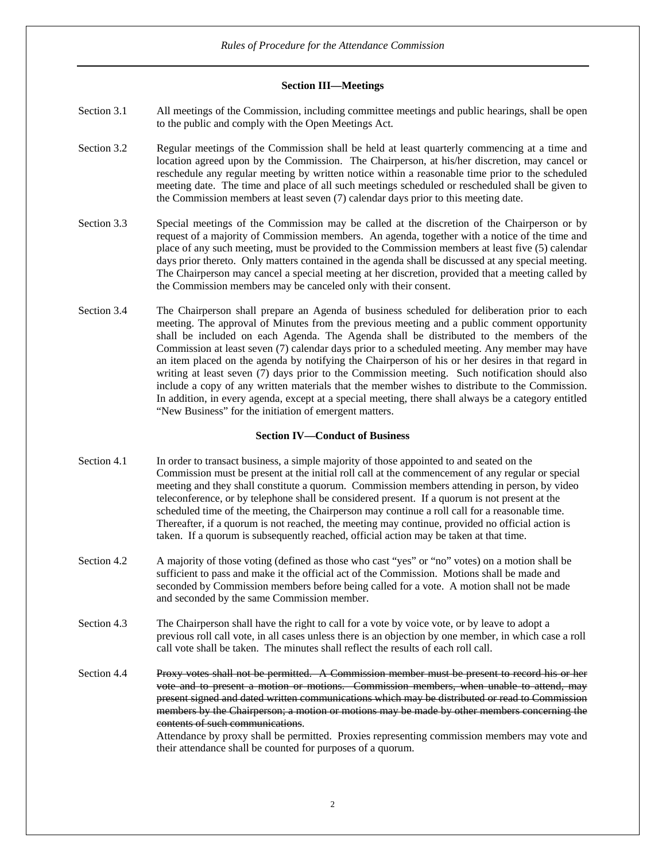# **Section III—Meetings**

- Section 3.1 All meetings of the Commission, including committee meetings and public hearings, shall be open to the public and comply with the Open Meetings Act.
- Section 3.2 Regular meetings of the Commission shall be held at least quarterly commencing at a time and location agreed upon by the Commission. The Chairperson, at his/her discretion, may cancel or reschedule any regular meeting by written notice within a reasonable time prior to the scheduled meeting date. The time and place of all such meetings scheduled or rescheduled shall be given to the Commission members at least seven (7) calendar days prior to this meeting date.
- Section 3.3 Special meetings of the Commission may be called at the discretion of the Chairperson or by request of a majority of Commission members. An agenda, together with a notice of the time and place of any such meeting, must be provided to the Commission members at least five (5) calendar days prior thereto. Only matters contained in the agenda shall be discussed at any special meeting. The Chairperson may cancel a special meeting at her discretion, provided that a meeting called by the Commission members may be canceled only with their consent.
- Section 3.4 The Chairperson shall prepare an Agenda of business scheduled for deliberation prior to each meeting. The approval of Minutes from the previous meeting and a public comment opportunity shall be included on each Agenda. The Agenda shall be distributed to the members of the Commission at least seven (7) calendar days prior to a scheduled meeting. Any member may have an item placed on the agenda by notifying the Chairperson of his or her desires in that regard in writing at least seven (7) days prior to the Commission meeting. Such notification should also include a copy of any written materials that the member wishes to distribute to the Commission. In addition, in every agenda, except at a special meeting, there shall always be a category entitled "New Business" for the initiation of emergent matters.

# **Section IV—Conduct of Business**

- Section 4.1 In order to transact business, a simple majority of those appointed to and seated on the Commission must be present at the initial roll call at the commencement of any regular or special meeting and they shall constitute a quorum. Commission members attending in person, by video teleconference, or by telephone shall be considered present. If a quorum is not present at the scheduled time of the meeting, the Chairperson may continue a roll call for a reasonable time. Thereafter, if a quorum is not reached, the meeting may continue, provided no official action is taken. If a quorum is subsequently reached, official action may be taken at that time.
- Section 4.2 A majority of those voting (defined as those who cast "yes" or "no" votes) on a motion shall be sufficient to pass and make it the official act of the Commission. Motions shall be made and seconded by Commission members before being called for a vote. A motion shall not be made and seconded by the same Commission member.
- Section 4.3 The Chairperson shall have the right to call for a vote by voice vote, or by leave to adopt a previous roll call vote, in all cases unless there is an objection by one member, in which case a roll call vote shall be taken. The minutes shall reflect the results of each roll call.
- Section 4.4 Proxy votes shall not be permitted. A Commission member must be present to record his or her vote and to present a motion or motions. Commission members, when unable to attend, may present signed and dated written communications which may be distributed or read to Commission members by the Chairperson; a motion or motions may be made by other members concerning the contents of such communications.

Attendance by proxy shall be permitted. Proxies representing commission members may vote and their attendance shall be counted for purposes of a quorum.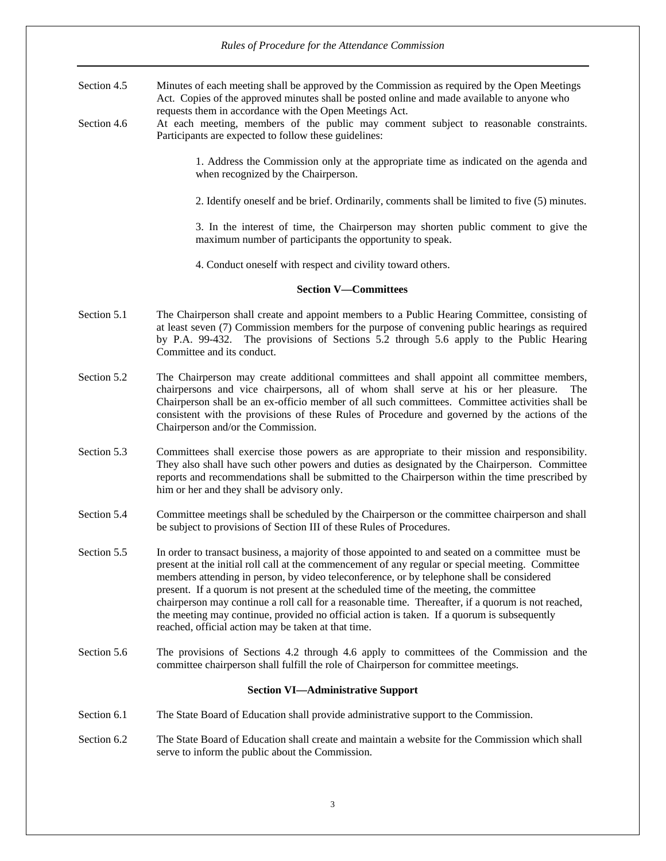# *Rules of Procedure for the Attendance Commission*

- Section 4.5 Minutes of each meeting shall be approved by the Commission as required by the Open Meetings Act. Copies of the approved minutes shall be posted online and made available to anyone who requests them in accordance with the Open Meetings Act.
- Section 4.6 At each meeting, members of the public may comment subject to reasonable constraints. Participants are expected to follow these guidelines:

1. Address the Commission only at the appropriate time as indicated on the agenda and when recognized by the Chairperson.

2. Identify oneself and be brief. Ordinarily, comments shall be limited to five (5) minutes.

3. In the interest of time, the Chairperson may shorten public comment to give the maximum number of participants the opportunity to speak.

4. Conduct oneself with respect and civility toward others.

#### **Section V—Committees**

- Section 5.1 The Chairperson shall create and appoint members to a Public Hearing Committee, consisting of at least seven (7) Commission members for the purpose of convening public hearings as required by P.A. 99-432. The provisions of Sections 5.2 through 5.6 apply to the Public Hearing Committee and its conduct.
- Section 5.2 The Chairperson may create additional committees and shall appoint all committee members, chairpersons and vice chairpersons, all of whom shall serve at his or her pleasure. The Chairperson shall be an ex-officio member of all such committees. Committee activities shall be consistent with the provisions of these Rules of Procedure and governed by the actions of the Chairperson and/or the Commission.
- Section 5.3 Committees shall exercise those powers as are appropriate to their mission and responsibility. They also shall have such other powers and duties as designated by the Chairperson. Committee reports and recommendations shall be submitted to the Chairperson within the time prescribed by him or her and they shall be advisory only.
- Section 5.4 Committee meetings shall be scheduled by the Chairperson or the committee chairperson and shall be subject to provisions of Section III of these Rules of Procedures.
- Section 5.5 In order to transact business, a majority of those appointed to and seated on a committee must be present at the initial roll call at the commencement of any regular or special meeting. Committee members attending in person, by video teleconference, or by telephone shall be considered present. If a quorum is not present at the scheduled time of the meeting, the committee chairperson may continue a roll call for a reasonable time. Thereafter, if a quorum is not reached, the meeting may continue, provided no official action is taken. If a quorum is subsequently reached, official action may be taken at that time.
- Section 5.6 The provisions of Sections 4.2 through 4.6 apply to committees of the Commission and the committee chairperson shall fulfill the role of Chairperson for committee meetings.

# **Section VI—Administrative Support**

- Section 6.1 The State Board of Education shall provide administrative support to the Commission.
- Section 6.2 The State Board of Education shall create and maintain a website for the Commission which shall serve to inform the public about the Commission.